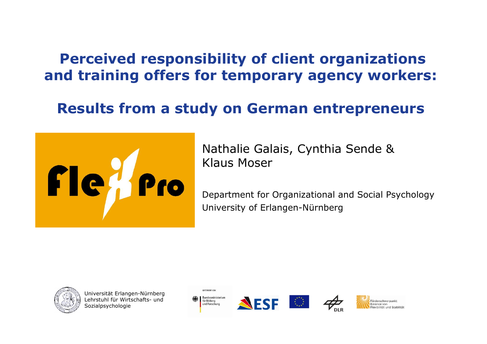### Perceived responsibility of client organizations and training offers for temporary agency workers:

#### Results from a study on German entrepreneurs



Nathalie Galais, Cynthia Sende & Klaus Moser

Department for Organizational and Social PsychologyUniversity of Erlangen-Nürnberg









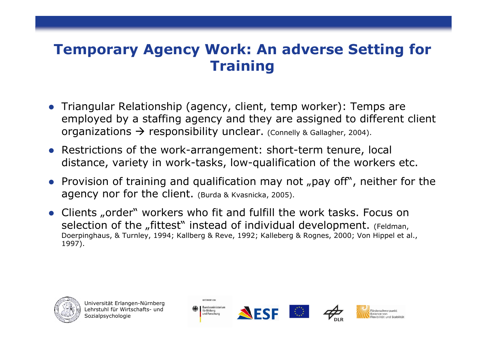### Temporary Agency Work: An adverse Setting for **Training**

- **•** Triangular Relationship (agency, client, temp worker): Temps are employed by a staffing agency and they are assigned to different client<br>organizations  $\rightarrow$  responsibility unclear. (Conelly & Gallagher, 2004)  $\rm{\bf{\rm{organizations}}\to \rm{responsibility\; unclear.\;}$  (Connelly & Gallagher, 2004).
- Restrictions of the work-arrangement: short-term tenure, local distance, variety in work-tasks, low-qualification of the workers etc.
- Provision of training and qualification may not "pay off", neither for the agency nor for the client. (Burda & Kvasnicka, 2005).
- Clients "order" workers who fit and fulfill the work tasks. Focus on<br>selection of the fittest" instead of individual development (Feldman selection of the "fittest" instead of individual development. (Feldman, Doerpinghaus, & Turnley, 1994; Kallberg & Reve, 1992; Kalleberg & Rognes, 2000; Von Hippel et al., 1997).



Universität Erlangen-NürnbergLehrstuhl für Wirtschafts- und<br>Sozialnsvchologie Sozialpsychologie







Förderschwernunk Ralance von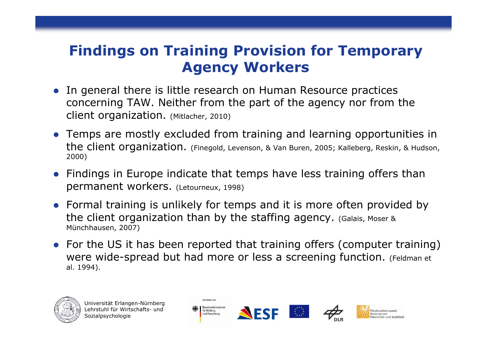### Findings on Training Provision for Temporary Agency Workers

- $\bullet$  In general there is little research on Human Resource practices concerning TAW. Neither from the part of the agency nor from theclient organization. (Mitlacher, 2010)
- $\bullet$  Temps are mostly excluded from training and learning opportunities in the client organization. (Finegold, Levenson, & Van Buren, 2005; Kalleberg, Reskin, & Hudson, 2000)
- $\bullet$  Findings in Europe indicate that temps have less training offers than permanent workers. (Letourneux, 1998)
- $\bullet$  Formal training is unlikely for temps and it is more often provided by the client organization than by the staffing agency. (Galais, Moser & Münchhausen, 2007)
- For the US it has been reported that training offers (computer training) were wide-spread but had more or less a screening function. (Feldman et al. 1994).







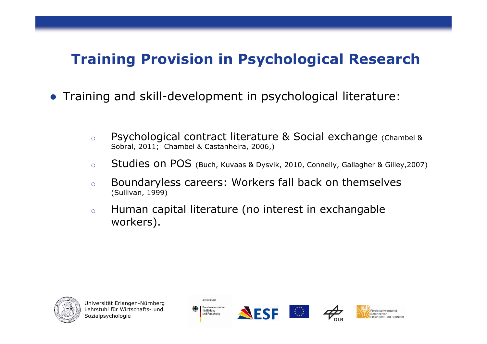### Training Provision in Psychological Research

- Training and skill-development in psychological literature:
	- oo Psychological contract literature & Social exchange (Chambel & Sobral, 2011; Chambel & Castanheira, 2006,)
	- oStudies on POS (Buch, Kuvaas & Dysvik, 2010, Connelly, Gallagher & Gilley,2007)
	- o Boundaryless careers: Workers fall back on themselves (Sullivan, 1999)
	- o Human capital literature (no interest in exchangable workers).









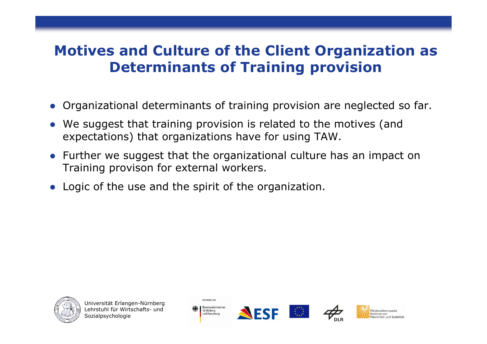### Motives and Culture of the Client Organization as Determinants of Training provision

- Organizational determinants of training provision are neglected so far.
- $\bullet$  We suggest that training provision is related to the motives (and expectations) that organizations have for using TAW.
- Further we suggest that the organizational culture has an impact on<br>Training provison for external workers Training provison for external workers.
- Logic of the use and the spirit of the organization.



Universität Erlangen-NürnbergLehrstuhl für Wirtschafts- und<br>Sozialnsvchologie **Sozialpsychologie** 



GEFÖRDERT VOM





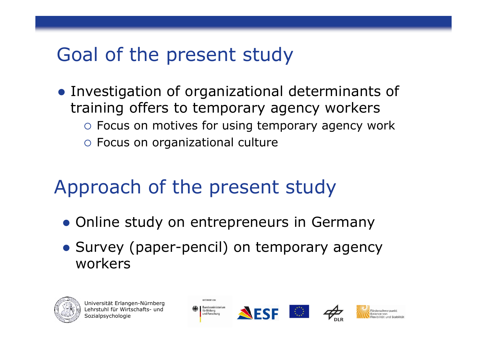### Goal of the present study

**• Investigation of organizational determinants of** training offers to temporary agency workers o Focus on motives for using temporary agency work Focus on organizational culture

## Approach of the present study

- **Online study on entrepreneurs in Germany**
- **Survey (paper-pencil) on temporary agency** workers







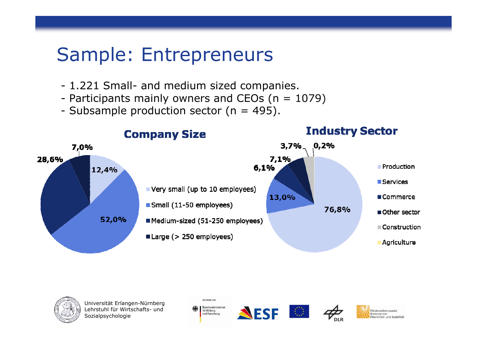### Sample: Entrepreneurs

- 1.221 Small- and medium sized companies.<br>- Particinants mainly owners and CEOs (n = 1)
- Participants mainly owners and CEOs (n = 1079)<br>- Subsample production sector (n = 495)
- Subsample production sector ( $n = 495$ ).





Universität Erlangen-NürnbergLehrstuhl für Wirtschafts- und<br>Sozialnsvchologie Sozialpsychologie









**Eörderschwernunkt** lexibilität und Stabilität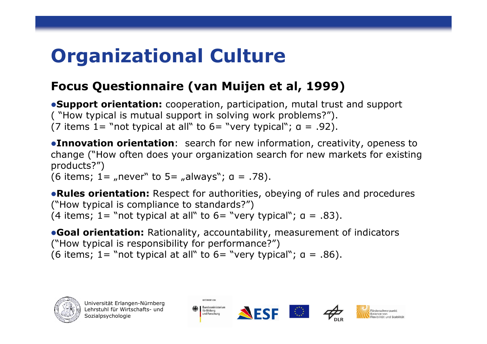# Organizational Culture

#### Focus Questionnaire (van Muijen et al, 1999)

**Support orientation:** cooperation, participation, mutal trust and support ( "How typical is mutual support in solving work problems?"). (7 items  $1=$  "not typical at all" to  $6=$  "very typical";  $a = .92$ ).

**Innovation orientation**: search for new information, creativity, openess to change ("How often does your organization search for new markets for existing products?")

(6 items; 1= "never" to 5= "always";  $a = .78$ ).

**• Rules orientation:** Respect for authorities, obeying of rules and procedures ("How typical is compliance to standards?") (4 items; 1= "not typical at all" to 6= "very typical";  $a = .83$ ).

**Goal orientation:** Rationality, accountability, measurement of indicators ("How typical is responsibility for performance?")(6 items; 1= "not typical at all" to 6= "very typical";  $a = .86$ ).





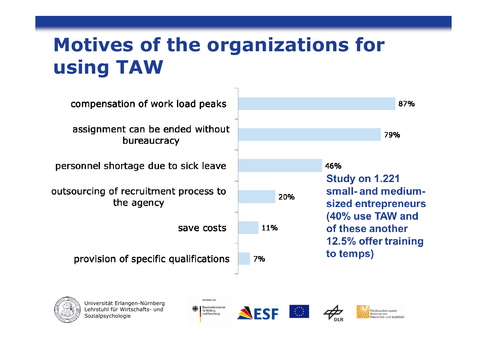## Motives of the organizations for using TAW





Universität Erlangen-NürnbergLehrstuhl für Wirtschafts- und<br>Sozialnsvchologie Sozialpsychologie









**Eörderschwernunkt** Ralance von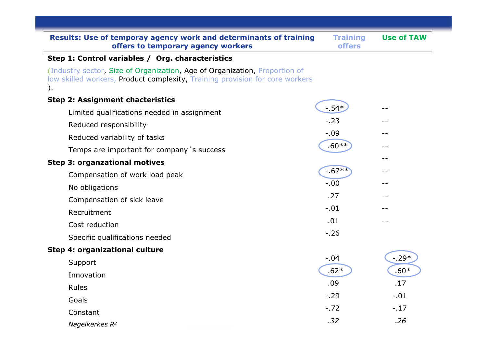| Results: Use of temporay agency work and determinants of training<br>offers to temporary agency workers                                                          | <b>Training</b><br><b>offers</b> | <b>Use of TAW</b> |
|------------------------------------------------------------------------------------------------------------------------------------------------------------------|----------------------------------|-------------------|
| Step 1: Control variables / Org. characteristics                                                                                                                 |                                  |                   |
| (Industry sector, Size of Organization, Age of Organization, Proportion of<br>low skilled workers, Product complexity, Training provision for core workers<br>). |                                  |                   |
| <b>Step 2: Assignment chacteristics</b>                                                                                                                          |                                  |                   |
| Limited qualifications needed in assignment                                                                                                                      | $-0.54*$                         |                   |
| Reduced responsibility                                                                                                                                           | $-23$                            |                   |
| Reduced variability of tasks                                                                                                                                     | $-.09$                           |                   |
| Temps are important for company's success                                                                                                                        | $.60**$                          | --                |
| <b>Step 3: organzational motives</b>                                                                                                                             |                                  |                   |
| Compensation of work load peak                                                                                                                                   | $-0.67**$                        | --                |
| No obligations                                                                                                                                                   | $-.00$                           |                   |
| Compensation of sick leave                                                                                                                                       | .27                              | --                |
| Recruitment                                                                                                                                                      | $-.01$                           |                   |
| Cost reduction                                                                                                                                                   | .01                              |                   |
| Specific qualifications needed                                                                                                                                   | $-.26$                           |                   |
| Step 4: organizational culture                                                                                                                                   |                                  |                   |
| Support                                                                                                                                                          | $-.04$                           | $-.29*$           |
| Innovation                                                                                                                                                       | $.62*$                           | $.60*$            |
| Rules                                                                                                                                                            | .09                              | .17               |
| Goals                                                                                                                                                            | $-.29$                           | $-.01$            |
| Constant                                                                                                                                                         | $-.72$                           | $-.17$            |
| Nagelkerkes R <sup>2</sup>                                                                                                                                       | .32                              | .26               |
|                                                                                                                                                                  |                                  |                   |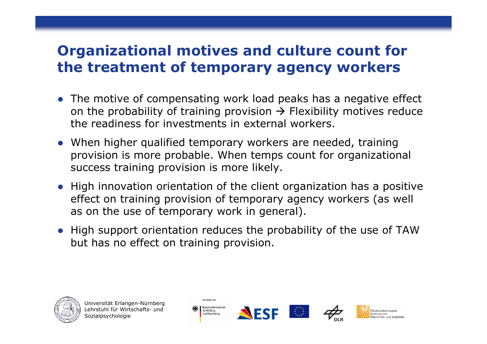### Organizational motives and culture count for the treatment of temporary agency workers

- The motive of compensating work load peaks has a negative effect on the probability of training provision -> Flexibility motives reduce<br>the readiness for investments in external workers the readiness for investments in external workers.
- When higher qualified temporary workers are needed, training provision is more probable. When temps count for organizational success training provision is more likely.
- High innovation orientation of the client organization has a positive effect on training provision of temporary agency workers (as well as on the use of temporary work in general).
- High support orientation reduces the probability of the use of TAW but has no effect on training provision.



Universität Erlangen-NürnbergLehrstuhl für Wirtschafts- und<br>Sozialnsvchologie **Sozialpsychologie** 







Förderschwernunk Ralance von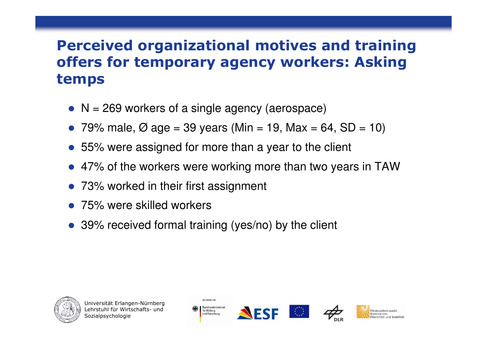### Perceived organizational motives and training offers for temporary agency workers: Asking temps

- $\bullet$  N = 269 workers of a single agency (aerospace)
- 79% male,  $\varnothing$  age = 39 years (Min = 19, Max = 64, SD = 10)
- 55% were assigned for more than a year to the client
- 47% of the workers were working more than two years in TAW
- 73% worked in their first assignment
- 75% were skilled workers
- 39% received formal training (yes/no) by the client







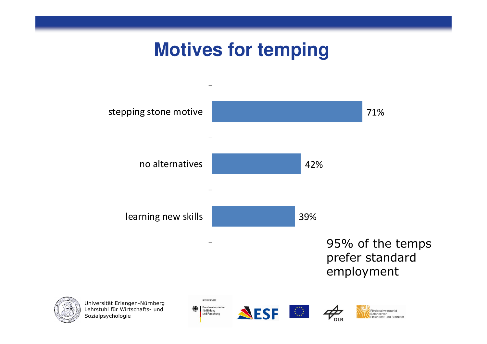### **Motives for temping**









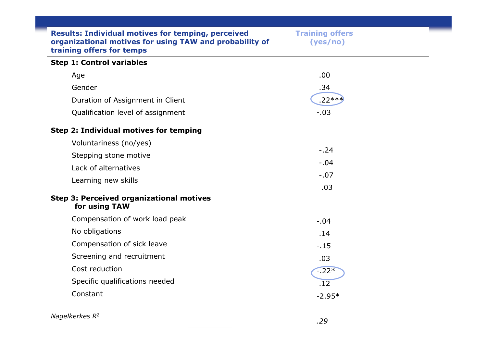| <b>Results: Individual motives for temping, perceived</b><br>organizational motives for using TAW and probability of<br>training offers for temps | <b>Training offers</b><br>(yes/no) |  |
|---------------------------------------------------------------------------------------------------------------------------------------------------|------------------------------------|--|
| <b>Step 1: Control variables</b>                                                                                                                  |                                    |  |
| Age                                                                                                                                               | .00.                               |  |
| Gender                                                                                                                                            | .34                                |  |
| Duration of Assignment in Client                                                                                                                  | $.22***$                           |  |
| Qualification level of assignment                                                                                                                 | $-.03$                             |  |
| Step 2: Individual motives for temping                                                                                                            |                                    |  |
| Voluntariness (no/yes)                                                                                                                            |                                    |  |
| Stepping stone motive                                                                                                                             | $-.24$                             |  |
| Lack of alternatives                                                                                                                              | $-.04$                             |  |
| Learning new skills                                                                                                                               | $-.07$                             |  |
|                                                                                                                                                   | .03                                |  |
| <b>Step 3: Perceived organizational motives</b><br>for using TAW                                                                                  |                                    |  |
| Compensation of work load peak                                                                                                                    | $-.04$                             |  |
| No obligations                                                                                                                                    | .14                                |  |
| Compensation of sick leave                                                                                                                        | $-.15$                             |  |
| Screening and recruitment                                                                                                                         | .03                                |  |
| Cost reduction                                                                                                                                    | $-22*$                             |  |
| Specific qualifications needed                                                                                                                    | .12                                |  |
| Constant                                                                                                                                          | $-2.95*$                           |  |
| Nagelkerkes R <sup>2</sup>                                                                                                                        | $\sim$ $\sim$                      |  |

.29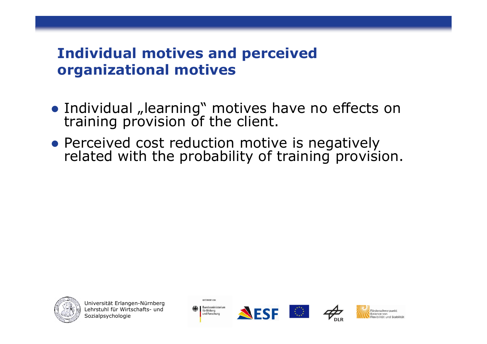### Individual motives and perceived organizational motives

- **•** Individual "learning" motives have no effects on training provision of the client.
- Perceived cost reduction motive is negatively related with the probability of training provision.



Universität Erlangen-NürnbergLehrstuhl für Wirtschafts- und<br>Sozialnsvchologie Sozialpsychologie



GEFÖRDERT VOM





**Eörderschwernunkt** Ralance von